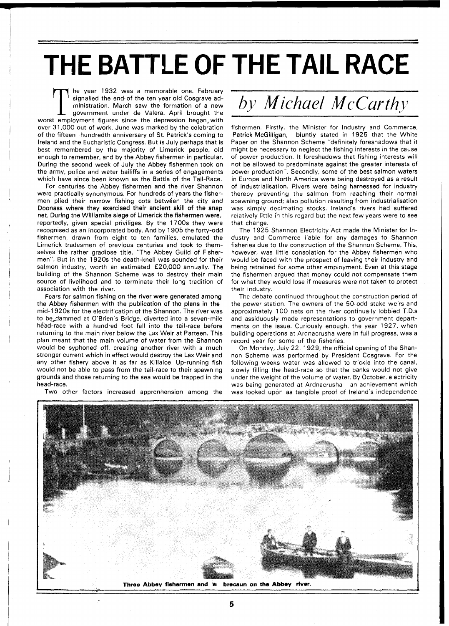## **THE BATTLE OF**  THE TAIL RACE

The year 1932 was a memorable one. February signalled the end of the ten year old Cosgrave administration. March saw the formation of a new government under de Valera. April brought the worst employment figures since the depression began, with over 31,000 out of work. June was marked by the celebration of the fifteen -hundredth anniversary of St. Patrick's coming to Ireland and the Eucharistic Congress. But is July perhaps that is best remembered by the majority of Limerick people, old enough to remember, and by the Abbey fishermen in particular. During the second week of July the Abbey fishermen took on the army, police and water bailiffs in a series of engagements which have since been known as the Battle of the Tail-Race.

For centuries the Abbey fishermen and the river Shannon were practically synonymous. For hundreds of years the fishermen plied their narrow fishing cots between the city and Doonass where they exercised their ancient skill of the snap net. During the Williamite siege of Limerick the fishermen were, reportedly, given special priviliges. By the 1700s they were recognised as an incorporated body. And by 1905 the forty-odd fishermen, drawn from eight to ten families, emulated the Limerick tradesmen of previous centuries and took to themselves the rather gradiose title, "The Abbey Guild of Fishermen". But in the 1920s the death-knell was sounded for their salmon industry, worth an estimated £20,000 annually. The building of the Shannon Scheme was to destroy their main source of livelihood and to terminate their long tradition of association with the river.

Fears for salmon fishing on the river were generated among the Abbey fishermen with the publication of the plans in the mid-l 920s for the electrification of the Shannon. The river was to be,dammed at O'Brien's Bridge, diverted into a seven-mile head-race with a hundred foot fall into the tail-race before returning to the main river below the Lax Weir at Parteen. This plan meant that the main volume of water from the Shannon would be syphoned off, creating another river with a much stronger current which in effect would destroy the Lax Weir and any other fishery above it as far as Killaloe. Up-running fish would not be able to pass from the tail-race to their spawning grounds and those returning to the sea would be trapped in the head-race.

Two other factors increased apprenhension among the

## *by Michuel McCurthy*

fishermen. Firstly, the Minister for Industry and Commerce, Patrick McGilligan, bluntly stated in 1925 that the White Paper on the Shannon Scheme "definitely foreshadows that it might be necessary to neglect the fishing interests in the cause of power production. It foreshadows that fishing interests will not be allowed to predominate against the greater interests of power production". Secondly, some of the best salmon waters in Europe and North America were being destroyed as a result of industrialisation. Rivers were being harnessed for industry thereby preventing the salmon from reaching their normal spawning ground; also pollution resulting from industrialisation was simply decimating stocks. Ireland's rivers had suffered relatively little in this regard but the next few years were to see that change.

The 1925 Shannon Electricity Act made the Minister for Industry and Commerce liable for any damages to Shannon fisheries due to the construction of the Shannon Scheme. This, however, was little consolation for the Abbey fishermen who would be faced with the prospect of leaving their industry and being retrained for some other employment. Even at this stage the fishermen argued that money could not compensate them for what they would lose if measures were not taken to protect their industry.

The debate continued throughout the construction period of the power station. The owners of the 50-odd stake weirs and approximately 100 nets on the river continually lobbied T.D.s and assiduously made representations to government departments on the issue. Curiously enough, the year 1927, when building operations at Ardnacrusha were in full progress, was a record year for some of the fisheries.

On Monday, July 22, 1929, the official opening of the Shannon Scheme was performed by President Cosgrave. For the following weeks water was allowed to trickle into the canal, slowly filling the head-race so that the banks would not give under the weight of the volume of water. By October, electricity was being generated at Ardnacrusha - an achievement which was looked upon as tangible proof of Ireland's independence

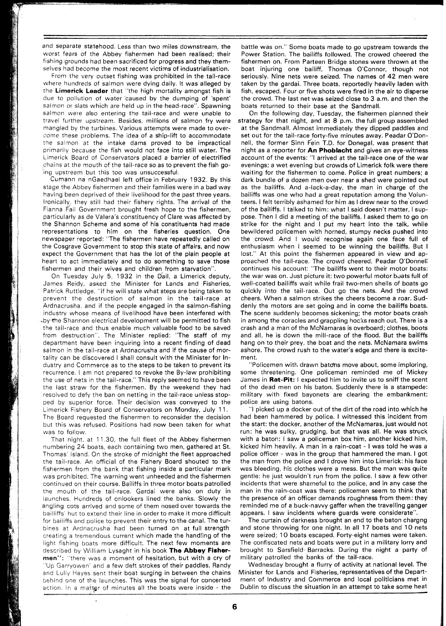and separate statehood. Less than two miles downstream, the worst fears of the Abbey fishermen had been realised; their fishing grounds had been sacrificed for progress and they themselves had become the most recent victims of industrialisation.

From the very outset fishing was prohibited in the tail-race where hundreds of salmon were dying daily. It was alleged by the Limerick Leader that "the high mortality amongst fish is due to pollution of water caused by the dumping of 'spent' salmon or slats which are held up in the head-race". Spawning salmon were also entering the tail-race and were unable to travel further upstream. Besides, millions of salmon fry were mangled by the turbines. Various attempts were made to overcome these problems. The idea of a ship-lift to accommodate the salmon at the intake dams proved to be impractical primarily because the fish would not face into still water. The Limerick Board of Conservators placed a barrier of electrified ,chains at the mouth of the tail-race so as to prevent the fish going upstream but this too was unsuccessful.

Cumann na nGaedhael left office in February 1932. By this stage the Abbey fishermen and their families were in a bad way having been deprived of their livelihood for the past three years. Ironically, they still had their fishery rights. The arrival of the Fianna Fail Government brought fresh hope to the fishermen, particularly as de Valera's constituency of Clare was affected by the Shannon Scheme and some of his constituents had made representations to him on the fisheries question. One newspaper reported: "The fishermen have repeatedly called on the Cosgrave Government to stop this state of affairs, and now expect the Government that has the lot of the plain people at heart to act immediately and to do something to save those fishermen and their wives and children from starvation".

On Tuesday July 5, 1932 in the Dail, a Limerick deputy, James Reidy, asked the Minister for Lands and Fisheries, Patrick Ruttledge, "if he will state what steps are being taken to prevent the destruction of salmon in the tail-race at Ardnacrusha, and if the people engaged in the salmon-fishing industry whose means of livelihood have been interfered with +by.the Shannon electrical development will be permitted to fish the tail-race and thus enable much valuable food to be saved from destruction". The Minister replied: "The staff of my department have been inquiring into a recent finding of dead salmon in the tail-race at Ardnacrusha and if the cause of mortality can be discovered I shall consult with the Minister for Industry and Commerce as to the steps to be taken to prevent its recurrence. I am not prepared to revoke the By-law prohibiting the use of nets in the tail-race." This reply seemed to have been the last straw for the fishermen. By the weekend they had resolved to defy the ban on netting in the tail-race unless stopped by superior force. Their decision was conveyed to the Limerick Fishery Board of Conservators on Monday, July 11. The Board requested the fishermen to reconsider the decision but this was refused. Positions had now been taken for what was to follow.

That night, at 11.30, the full fleet of the Abbey fishermen numbering 24 boats, each containing two men, gathered at St. Thomas' Island. On the stroke of midnight the fleet approached the tail-race. An official of the Fishery Board shouted to the fishermen from the bank that fishing inside a particular mark was prohibited. The warning went unheeded and the fishermen continued on their course. Bailiffs in three motor boats patrolled the mouth of the tail-race. Gardai were also on duty in launches. Hundreds of enlookers lined the banks. Slowly the angling cots arrived and some of them nosed over towards the bailliffs' hut to extend their line in order to make it more difficult for bailiffs and police to prevent their entry to the canal. The turbines at Ardnacrusha had been turned on at full strength creating a tremendous current which made the hand!ing of the light fishing boats more difficult. The next few moments are described by William Lysaght in his book The Abbey Fisher**men":** "there was a moment of hesitation, but with a cry of "Up Garryowen' and a few deft strokes of their paddles, Randy and Lully Hayes sent their boat surging in between the chains behind one of the launches. This was the signal for concerted action. In a matter of minutes all the boats were inside - the

battle was on." Some boats made to go upstream towards the Power Station. The bailiffs followed. The crowed cheered the fishermen on. From Parteen Bridge stones were thrown at the boat injuring one bailiff, Thomas O'Connor, though not seriously. Nine nets were seized. The names of 42 men were taken by the gardai. Three boats, reportedly heavily laden with fish, escaped. Four or five shots were fired in the air to disperse the crowd. The last net was seized close to 3 a.m. and then the boats returned to their base at the Sandmall.

On the following day, Tuesday, the fishermen planned their strategy for that night, and at 8 p.m. the full group assembled at the Sandmall. Almost immediately they dipped paddles and set out for the tail-race forty-five minutes away. Peadar O'Donnell, the former Sinn Fein T.D. for Donegal, was present that night as a reporter for An Phoblacht and gives an eye-witness account of the events: "I arrived at the tail-race one of the war evenings; a wet evening but crowds of Limerick folk were there waiting for the fishermen to come. Police in great numbers; a dark bundle of a dozen men over near a shed were pointed out as the bailiffs. And a-lack-a-day, the man in charge of the bailiffs was one who had a great reputation among the Volunteers. I felt terribly ashamed for him as I drew near to the crowd of the bailiffs. I talked to him: what I said doesn't matter, I suppose. Then I did a meeting of the bailiffs. I asked them to go on strike for the night and I put my heart into the talk, while bewildered policemen with horned, stumpy necks pushed into the crowd. And I would recognise again one face full of enthusiasm when I seemed to be winning the bailiffs. But I lost." At this point the fishermen appeared in view and approached the tail-race. The crowd cheered. Peadar O'Donneli continues his account: "The bailiffs went to their motor boats: the war was on. Just picture it: two powerful motor boats full of well-coated bailiffs wait while frail two-men shells of boats go quickly into the tail-race. Out go the nets. And the crowd cheers. When a salmon strikes the cheers become a roar. Suddenly the motors are set going and in come the bailiffs boats. The scene suddenly becomes sickening; the motor boats crash in among the coracles and grappling hocks reach out. There is a crash and a man of the McNamaras is overboard; clothes, boots and all, he is down the mill-race of the flood. But the bailiffs hang on to their prey, the boat and the nets. McNamara swims ashore. The crowd rush to the water's edge and there is excitement.

"Policemen with drawn batdns move about, some imploring, some threatening. One policeman reminded me of Mickey James in Rat-Pit: I expected him to invite us to sniff the scent of the dead men on his baton. Suddenly there is a stampede: military with fixed bayonets are clearing the embankment: police are using batons.

"I picked up a docker out of the dirt of the road into which he had been hammered by police. I witnessed this incident from the start: the docker, another of the McNamaras, just would not run: he was sulky, grudging, but that was all. He was struck with a baton: I saw a policeman box him, another kicked him, kicked him heavily. A man in a rain-coat - I was told he was a police officer - was in the group that hammered the man. I got the man from the police and I drove him into Limerick: his face was bleeding, his clothes were a mess. But the man was quite gentle: he just wouldn't run from the police. I saw a few other incidents that were shameful to the police, and in any case the man in the rain-coat was there: policemen seem to think that the presence of an officer demands roughness from them: they reminded me of a buck-navvy gaffer when the travelling ganger appears. I saw incidents where guards were considerate".

The curtain of darkness brought an end to the baton chargng and stone throwing for one night. In all 17 boats and 10 nets were seized; 10 boats escaped. Forty-eight names were taken. The confiscated nets and boats were put in a military lorry and brought to Sarsfield Barracks. During the night a party of military patrolled the banks of the tail-race.

Wednesday brought a flurry of activity at national level. The Minister for Lands and Fisheries, representatives of the Department of Industry and Cornmerce and local politicians met in Dublin to discuss the situation in an attempt to take some heat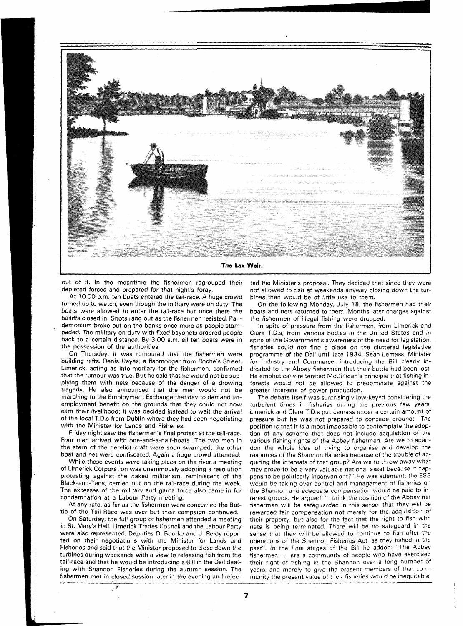

out of it. In the meantime the fishermen regrouped their depleted forces and prepared for that night's foray.

At 10.00 p.m. ten boats entered the tail-race. A huge crowd turned up to watch, even though the military were on duty. The boats were allowed to enter the tail-race but once there the bailiffs closed in. Shots rang out as the fishermen resisted. Pandemonium broke out on the banks once more as people stampeded. The military on duty with fixed bayonets ordered people back to a certain distance. By 3.00 a.m. all ten boats were in the possession of the authorities.

On Thursday, it was rumoured that the fishermen were building rafts. Denis Hayes, a fishmonger from Roche's Street, Limerick, acting as intermediary for the fishermen, confirmed that the rumour was true. But he said that he would not be supplying them with nets because of the danger of a drowing tragedy. He also announced that the men would not be marching to the Employment Exchange that day to demand unemployment benefit on the grounds that they could not now earn their livelihood; it was decided instead to wait the arrival of the local T.D.s from Dublin where they had been negotiating with the Minister for Lands and Fisheries.

Friday night saw the fishermen's final protest at the tail-race. Four men arrived with one-and-a-half-boats! The two men in the stern of the derelict craft were soon swamped; the other boat and net were confiscated. Again a huge crowd attended.

While these events were taking place on the river, a meeting of Limerick Corporation was unanimously adopting a resolution protesting against the naked militarism, reminiscent of the Black-and-Tans, carried out on the tail-race during the week. The excesses of the military and garda force also came in for condemnation at a Labour Party meeting.

At any rate, as far as the fishermen were concerned the Battle of the Tail-Race was over but their campaign continued.

On Saturday, the full group of fishermen attended a meeting in St. Mary's Hall. Limerick Trades Council and the Labour Party were also represented. Deputies D. Bourke and J. Reidy reported on their negotiations with the Minister for Lands and Fisheries and said that the Minister proposed to close down the turbines during weekends with a view to releasing fish from the tail-race and that he would be introducing a Bill in the Dail dealing with Shannon Fisheries during the autumn session. The fishermen met in closed session later in the evening and rejec-

یکی

ted the Minister's proposal. They decided that since they were not allowed to fish at weekends anyway closing down the turbines then would be of little use to them.

On the following Monday, July 18, the fishermen had their boats and nets returned to them. Months later charges against the fishermen of illegal fishing were dropped.

In spite of pressure from the fishermen, from Limerick and Clare T.D.s, from various bodies in the United States and in spite of the Government's awareness of the need for legislation, fisheries could not find a place on the cluttered legislative programme of the Dail until late 1934. Sean Lemass, Minister for Industry and Commerce, introducing the Bill clearly indicated to the Abbey fishermen that their battle had been lost. He emphatically reiterated McGilligan's principle that fishing interests would not be allowed to predominate against the greater interests of power production.

The debate itself was surprisingly low-keyed considering the turbulent times in fisheries during the previous few years. Limerick and Clare T.D.s put Lemass under a certain amount of pressure but he was not prepared to concede ground: "The position is that it is almost impossible to contemplate the adoption of any scheme that does not include acquisition of the various fishing rights of the Abbey fishermen. Are we to abandon the whole idea of trying to organise and develop the resources of the Shannon fisheries because of the trouble of acquiring the interests of that group? Are we to throw away what may prove to be a very valuable national asset because it happens to be politically inconvenient?" He was adamant: the ESB would be taking over control and management of fisheries on the Shannon and adequate compensation would be paid to interest groups. He argued: "I think the position of the Abbey net fishermen will be safeguarded in this sense, that they will be rewarded fair compensation not merely for the acquisition of their property, but also for the fact that the right to fish with nets is being terminated. There'will be no safeguard in the sense that they will be allowed to continue to fish after the operations of the Shannon Fisheries Act, as they fished in the past". In the final stages of the Bill he added: "The Abbey fishermen ... are a community of people who have exercised their right of fishing in the Shannon over a long number of years, and merely to give the present members of that community the present value of their fisheries would be inequitable.